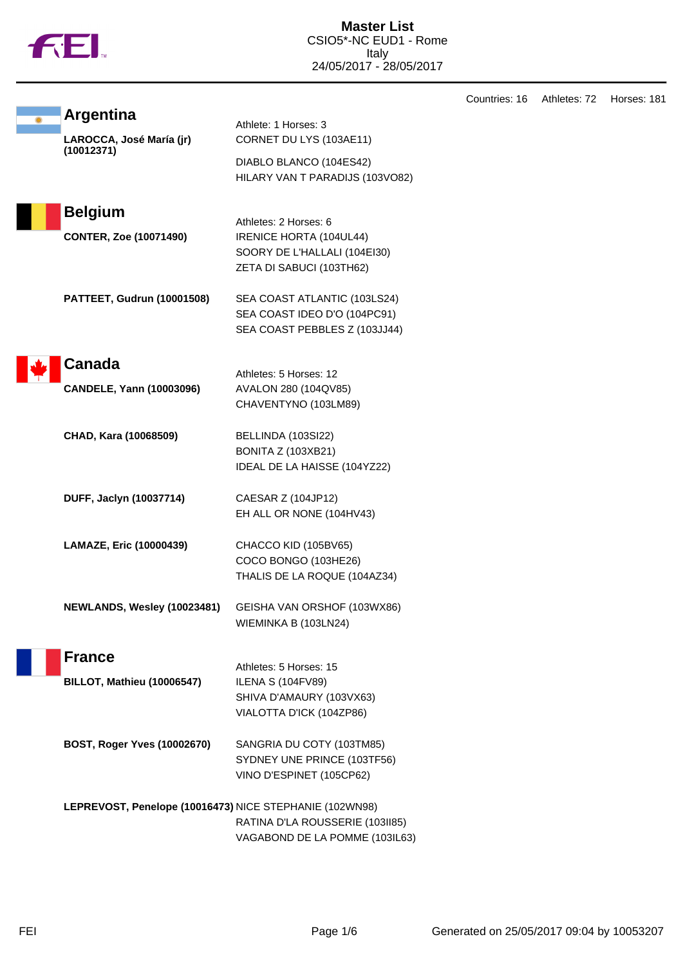|  | Ν |
|--|---|
|  |   |

|                                                         |                                                                                                            | Countries: 16 | Athletes: 72 | Horses: 181 |
|---------------------------------------------------------|------------------------------------------------------------------------------------------------------------|---------------|--------------|-------------|
| <b>Argentina</b><br>LAROCCA, José María (jr)            | Athlete: 1 Horses: 3<br>CORNET DU LYS (103AE11)                                                            |               |              |             |
| (10012371)                                              | DIABLO BLANCO (104ES42)<br>HILARY VAN T PARADIJS (103VO82)                                                 |               |              |             |
| <b>Belgium</b>                                          | Athletes: 2 Horses: 6                                                                                      |               |              |             |
| <b>CONTER, Zoe (10071490)</b>                           | IRENICE HORTA (104UL44)<br>SOORY DE L'HALLALI (104EI30)<br>ZETA DI SABUCI (103TH62)                        |               |              |             |
| PATTEET, Gudrun (10001508)                              | SEA COAST ATLANTIC (103LS24)<br>SEA COAST IDEO D'O (104PC91)<br>SEA COAST PEBBLES Z (103JJ44)              |               |              |             |
| Canada                                                  | Athletes: 5 Horses: 12                                                                                     |               |              |             |
| <b>CANDELE, Yann (10003096)</b>                         | AVALON 280 (104QV85)<br>CHAVENTYNO (103LM89)                                                               |               |              |             |
| CHAD, Kara (10068509)                                   | BELLINDA (103SI22)<br>BONITA Z (103XB21)<br>IDEAL DE LA HAISSE (104YZ22)                                   |               |              |             |
| DUFF, Jaclyn (10037714)                                 | CAESAR Z (104JP12)<br>EH ALL OR NONE (104HV43)                                                             |               |              |             |
| LAMAZE, Eric (10000439)                                 | CHACCO KID (105BV65)<br>COCO BONGO (103HE26)<br>THALIS DE LA ROQUE (104AZ34)                               |               |              |             |
| NEWLANDS, Wesley (10023481)                             | GEISHA VAN ORSHOF (103WX86)<br>WIEMINKA B (103LN24)                                                        |               |              |             |
| <b>France</b>                                           |                                                                                                            |               |              |             |
| <b>BILLOT, Mathieu (10006547)</b>                       | Athletes: 5 Horses: 15<br><b>ILENA S (104FV89)</b><br>SHIVA D'AMAURY (103VX63)<br>VIALOTTA D'ICK (104ZP86) |               |              |             |
| BOST, Roger Yves (10002670)                             | SANGRIA DU COTY (103TM85)<br>SYDNEY UNE PRINCE (103TF56)<br>VINO D'ESPINET (105CP62)                       |               |              |             |
| LEPREVOST, Penelope (10016473) NICE STEPHANIE (102WN98) | RATINA D'LA ROUSSERIE (103II85)<br>VAGABOND DE LA POMME (103IL63)                                          |               |              |             |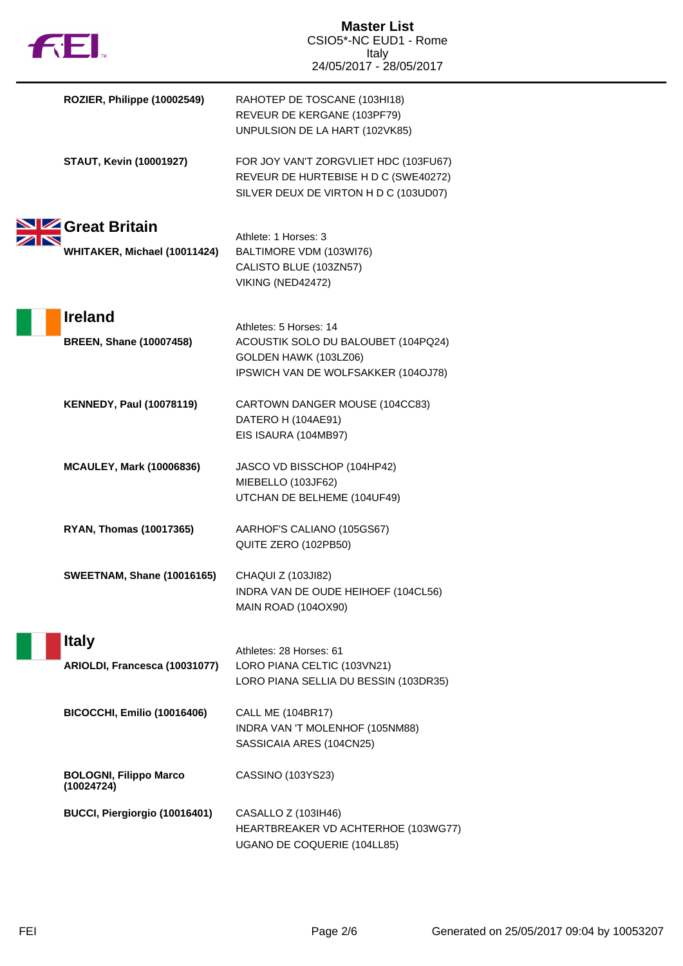| <b>THE</b>                                  | <b>Master List</b><br>CSIO5*-NC EUD1 - Rome<br>Italy<br>24/05/2017 - 28/05/2017                                        |
|---------------------------------------------|------------------------------------------------------------------------------------------------------------------------|
| ROZIER, Philippe (10002549)                 | RAHOTEP DE TOSCANE (103HI18)<br>REVEUR DE KERGANE (103PF79)<br>UNPULSION DE LA HART (102VK85)                          |
| <b>STAUT, Kevin (10001927)</b>              | FOR JOY VAN'T ZORGVLIET HDC (103FU67)<br>REVEUR DE HURTEBISE H D C (SWE40272)<br>SILVER DEUX DE VIRTON H D C (103UD07) |
| Great Britain                               |                                                                                                                        |
| WHITAKER, Michael (10011424)                | Athlete: 1 Horses: 3<br>BALTIMORE VDM (103WI76)<br>CALISTO BLUE (103ZN57)<br>VIKING (NED42472)                         |
| <b>Ireland</b>                              | Athletes: 5 Horses: 14                                                                                                 |
| <b>BREEN, Shane (10007458)</b>              | ACOUSTIK SOLO DU BALOUBET (104PQ24)<br>GOLDEN HAWK (103LZ06)<br>IPSWICH VAN DE WOLFSAKKER (104OJ78)                    |
| <b>KENNEDY, Paul (10078119)</b>             | CARTOWN DANGER MOUSE (104CC83)<br>DATERO H (104AE91)<br>EIS ISAURA (104MB97)                                           |
| <b>MCAULEY, Mark (10006836)</b>             | JASCO VD BISSCHOP (104HP42)<br>MIEBELLO (103JF62)<br>UTCHAN DE BELHEME (104UF49)                                       |
| <b>RYAN, Thomas (10017365)</b>              | AARHOF'S CALIANO (105GS67)<br>QUITE ZERO (102PB50)                                                                     |
| <b>SWEETNAM, Shane (10016165)</b>           | CHAQUI Z (103JI82)<br>INDRA VAN DE OUDE HEIHOEF (104CL56)<br><b>MAIN ROAD (104OX90)</b>                                |
| <b>Italy</b>                                | Athletes: 28 Horses: 61                                                                                                |
| ARIOLDI, Francesca (10031077)               | LORO PIANA CELTIC (103VN21)<br>LORO PIANA SELLIA DU BESSIN (103DR35)                                                   |
| <b>BICOCCHI, Emilio (10016406)</b>          | <b>CALL ME (104BR17)</b><br>INDRA VAN 'T MOLENHOF (105NM88)<br>SASSICAIA ARES (104CN25)                                |
| <b>BOLOGNI, Filippo Marco</b><br>(10024724) | CASSINO (103YS23)                                                                                                      |
| BUCCI, Piergiorgio (10016401)               | CASALLO Z (103IH46)<br>HEARTBREAKER VD ACHTERHOE (103WG77)<br>UGANO DE COQUERIE (104LL85)                              |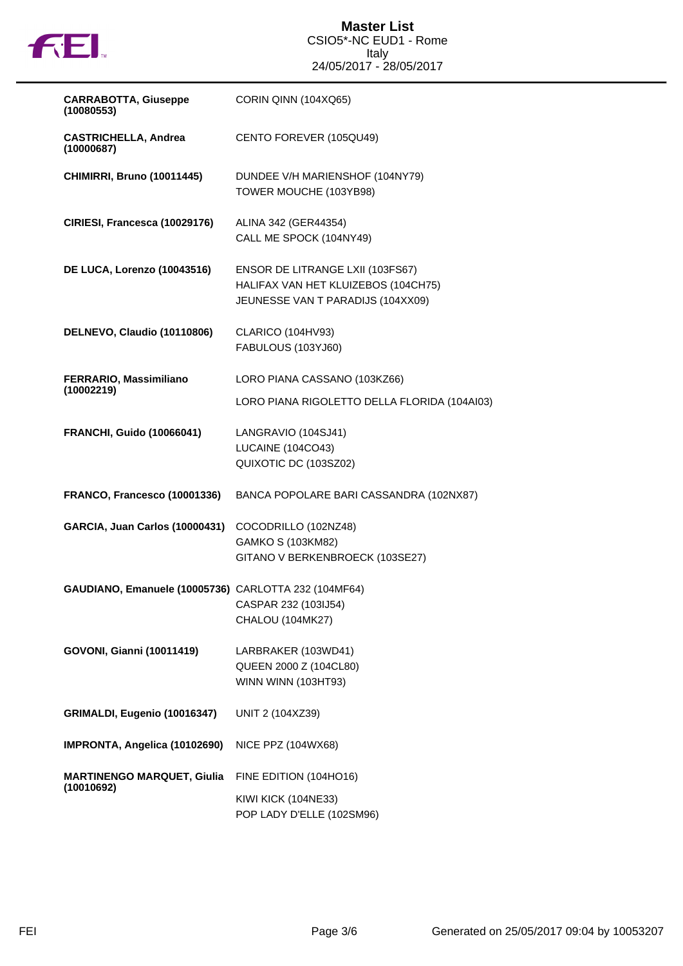

| <b>CARRABOTTA, Giuseppe</b><br>(10080553)            | CORIN QINN (104XQ65)                                                                                         |
|------------------------------------------------------|--------------------------------------------------------------------------------------------------------------|
| <b>CASTRICHELLA, Andrea</b><br>(10000687)            | CENTO FOREVER (105QU49)                                                                                      |
| <b>CHIMIRRI, Bruno (10011445)</b>                    | DUNDEE V/H MARIENSHOF (104NY79)<br>TOWER MOUCHE (103YB98)                                                    |
| CIRIESI, Francesca (10029176)                        | ALINA 342 (GER44354)<br>CALL ME SPOCK (104NY49)                                                              |
| DE LUCA, Lorenzo (10043516)                          | ENSOR DE LITRANGE LXII (103FS67)<br>HALIFAX VAN HET KLUIZEBOS (104CH75)<br>JEUNESSE VAN T PARADIJS (104XX09) |
| DELNEVO, Claudio (10110806)                          | CLARICO (104HV93)<br>FABULOUS (103YJ60)                                                                      |
| FERRARIO, Massimiliano<br>(10002219)                 | LORO PIANA CASSANO (103KZ66)<br>LORO PIANA RIGOLETTO DELLA FLORIDA (104AI03)                                 |
| <b>FRANCHI, Guido (10066041)</b>                     | LANGRAVIO (104SJ41)<br><b>LUCAINE (104CO43)</b><br>QUIXOTIC DC (103SZ02)                                     |
| FRANCO, Francesco (10001336)                         | BANCA POPOLARE BARI CASSANDRA (102NX87)                                                                      |
| GARCIA, Juan Carlos (10000431)                       | COCODRILLO (102NZ48)<br>GAMKO S (103KM82)<br>GITANO V BERKENBROECK (103SE27)                                 |
| GAUDIANO, Emanuele (10005736) CARLOTTA 232 (104MF64) | CASPAR 232 (103IJ54)<br>CHALOU (104MK27)                                                                     |
| <b>GOVONI, Gianni (10011419)</b>                     | LARBRAKER (103WD41)<br>QUEEN 2000 Z (104CL80)<br>WINN WINN (103HT93)                                         |
| GRIMALDI, Eugenio (10016347)                         | UNIT 2 (104XZ39)                                                                                             |
| IMPRONTA, Angelica (10102690)                        | NICE PPZ (104WX68)                                                                                           |
| <b>MARTINENGO MARQUET, Giulia</b><br>(10010692)      | FINE EDITION (104HO16)<br>KIWI KICK (104NE33)<br>POP LADY D'ELLE (102SM96)                                   |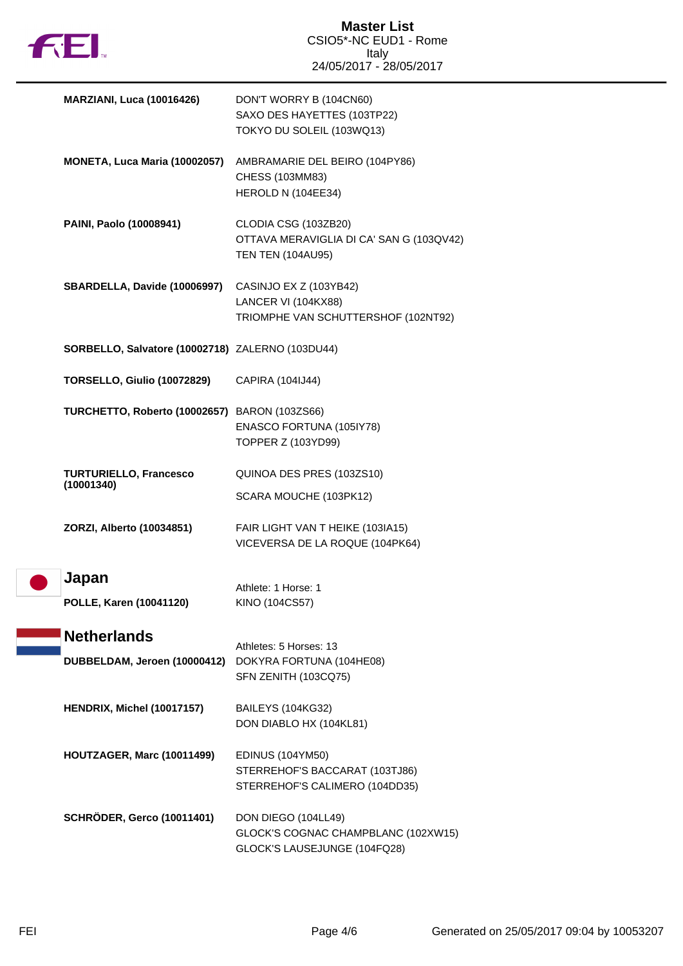

| <b>MARZIANI, Luca (10016426)</b>                 | DON'T WORRY B (104CN60)<br>SAXO DES HAYETTES (103TP22)<br>TOKYO DU SOLEIL (103WQ13)          |
|--------------------------------------------------|----------------------------------------------------------------------------------------------|
| MONETA, Luca Maria (10002057)                    | AMBRAMARIE DEL BEIRO (104PY86)<br>CHESS (103MM83)<br>HEROLD N (104EE34)                      |
| PAINI, Paolo (10008941)                          | CLODIA CSG (103ZB20)<br>OTTAVA MERAVIGLIA DI CA' SAN G (103QV42)<br><b>TEN TEN (104AU95)</b> |
| SBARDELLA, Davide (10006997)                     | CASINJO EX Z (103YB42)<br>LANCER VI (104KX88)<br>TRIOMPHE VAN SCHUTTERSHOF (102NT92)         |
| SORBELLO, Salvatore (10002718) ZALERNO (103DU44) |                                                                                              |
| <b>TORSELLO, Giulio (10072829)</b>               | CAPIRA (104IJ44)                                                                             |
| TURCHETTO, Roberto (10002657) BARON (103ZS66)    | ENASCO FORTUNA (105IY78)<br>TOPPER Z (103YD99)                                               |
| <b>TURTURIELLO, Francesco</b><br>(10001340)      | QUINOA DES PRES (103ZS10)                                                                    |
|                                                  | SCARA MOUCHE (103PK12)                                                                       |
| ZORZI, Alberto (10034851)                        | FAIR LIGHT VAN T HEIKE (103IA15)<br>VICEVERSA DE LA ROQUE (104PK64)                          |
| Japan                                            | Athlete: 1 Horse: 1                                                                          |
| POLLE, Karen (10041120)                          | KINO (104CS57)                                                                               |
| <b>Netherlands</b>                               | Athletes: 5 Horses: 13                                                                       |
| DUBBELDAM, Jeroen (10000412)                     | DOKYRA FORTUNA (104HE08)<br>SFN ZENITH (103CQ75)                                             |
| HENDRIX, Michel (10017157)                       | BAILEYS (104KG32)<br>DON DIABLO HX (104KL81)                                                 |
| HOUTZAGER, Marc (10011499)                       | <b>EDINUS (104YM50)</b><br>STERREHOF'S BACCARAT (103TJ86)<br>STERREHOF'S CALIMERO (104DD35)  |
| <b>SCHRÖDER, Gerco (10011401)</b>                | DON DIEGO (104LL49)<br>GLOCK'S COGNAC CHAMPBLANC (102XW15)<br>GLOCK'S LAUSEJUNGE (104FQ28)   |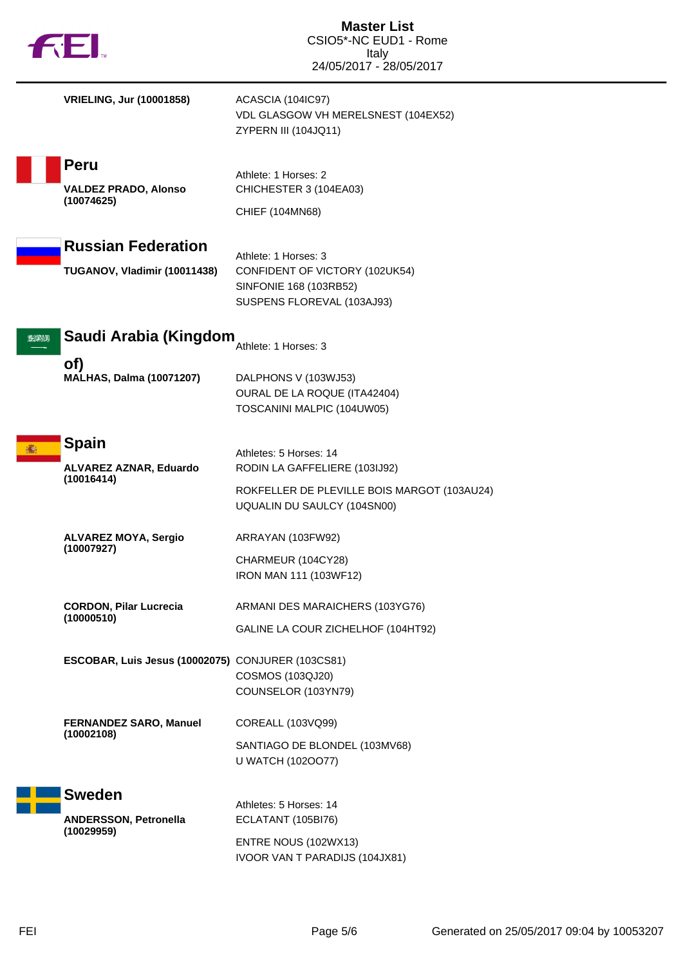| <b>THEI</b>                                                 | <b>Master List</b><br>CSIO5*-NC EUD1 - Rome                                                                    |  |
|-------------------------------------------------------------|----------------------------------------------------------------------------------------------------------------|--|
|                                                             | Italy<br>24/05/2017 - 28/05/2017                                                                               |  |
| <b>VRIELING, Jur (10001858)</b>                             | ACASCIA (104IC97)<br>VDL GLASGOW VH MERELSNEST (104EX52)<br>ZYPERN III (104JQ11)                               |  |
| Peru                                                        | Athlete: 1 Horses: 2                                                                                           |  |
| <b>VALDEZ PRADO, Alonso</b><br>(10074625)                   | CHICHESTER 3 (104EA03)<br>CHIEF (104MN68)                                                                      |  |
| <b>Russian Federation</b>                                   |                                                                                                                |  |
| TUGANOV, Vladimir (10011438)                                | Athlete: 1 Horses: 3<br>CONFIDENT OF VICTORY (102UK54)<br>SINFONIE 168 (103RB52)<br>SUSPENS FLOREVAL (103AJ93) |  |
| Saudi Arabia (Kingdom<br>2629131                            | Athlete: 1 Horses: 3                                                                                           |  |
| of)<br><b>MALHAS, Dalma (10071207)</b>                      | DALPHONS V (103WJ53)<br>OURAL DE LA ROQUE (ITA42404)<br>TOSCANINI MALPIC (104UW05)                             |  |
| <b>Spain</b><br>痛                                           | Athletes: 5 Horses: 14                                                                                         |  |
| ALVAREZ AZNAR, Eduardo<br>(10016414)                        | RODIN LA GAFFELIERE (103IJ92)<br>ROKFELLER DE PLEVILLE BOIS MARGOT (103AU24)<br>UQUALIN DU SAULCY (104SN00)    |  |
| <b>ALVAREZ MOYA, Sergio</b>                                 | ARRAYAN (103FW92)                                                                                              |  |
| (10007927)                                                  | CHARMEUR (104CY28)<br>IRON MAN 111 (103WF12)                                                                   |  |
| <b>CORDON, Pilar Lucrecia</b><br>(10000510)                 | ARMANI DES MARAICHERS (103YG76)                                                                                |  |
|                                                             | GALINE LA COUR ZICHELHOF (104HT92)                                                                             |  |
| ESCOBAR, Luis Jesus (10002075) CONJURER (103CS81)           | COSMOS (103QJ20)<br>COUNSELOR (103YN79)                                                                        |  |
| <b>FERNANDEZ SARO, Manuel</b><br>(10002108)                 | COREALL (103VQ99)                                                                                              |  |
|                                                             | SANTIAGO DE BLONDEL (103MV68)<br>U WATCH (1020077)                                                             |  |
| <b>Sweden</b><br><b>ANDERSSON, Petronella</b><br>(10029959) | Athletes: 5 Horses: 14<br>ECLATANT (105BI76)                                                                   |  |
|                                                             | ENTRE NOUS (102WX13)<br>IVOOR VAN T PARADIJS (104JX81)                                                         |  |